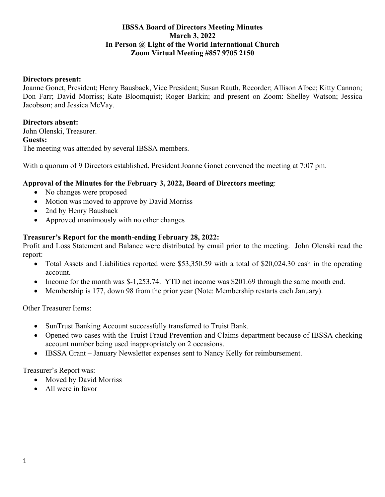## **IBSSA Board of Directors Meeting Minutes March 3, 2022 In Person @ Light of the World International Church Zoom Virtual Meeting #857 9705 2150**

### **Directors present:**

Joanne Gonet, President; Henry Bausback, Vice President; Susan Rauth, Recorder; Allison Albee; Kitty Cannon; Don Farr; David Morriss; Kate Bloomquist; Roger Barkin; and present on Zoom: Shelley Watson; Jessica Jacobson; and Jessica McVay.

### **Directors absent:**

John Olenski, Treasurer. **Guests:** The meeting was attended by several IBSSA members.

With a quorum of 9 Directors established, President Joanne Gonet convened the meeting at 7:07 pm.

### **Approval of the Minutes for the February 3, 2022, Board of Directors meeting**:

- No changes were proposed
- Motion was moved to approve by David Morriss
- 2nd by Henry Bausback
- Approved unanimously with no other changes

### **Treasurer's Report for the month-ending February 28, 2022:**

Profit and Loss Statement and Balance were distributed by email prior to the meeting. John Olenski read the report:

- Total Assets and Liabilities reported were \$53,350.59 with a total of \$20,024.30 cash in the operating account.
- Income for the month was \$-1,253.74. YTD net income was \$201.69 through the same month end.
- Membership is 177, down 98 from the prior year (Note: Membership restarts each January).

Other Treasurer Items:

- SunTrust Banking Account successfully transferred to Truist Bank.
- Opened two cases with the Truist Fraud Prevention and Claims department because of IBSSA checking account number being used inappropriately on 2 occasions.
- IBSSA Grant January Newsletter expenses sent to Nancy Kelly for reimbursement.

Treasurer's Report was:

- Moved by David Morriss
- All were in favor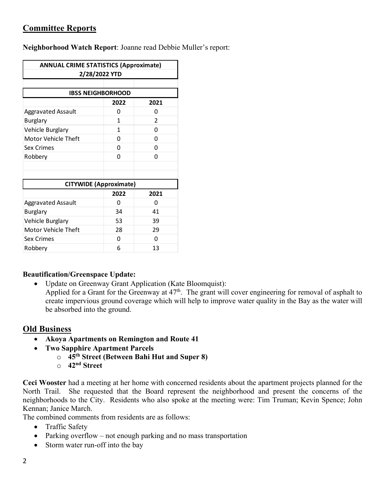# **Committee Reports**

**Neighborhood Watch Report**: Joanne read Debbie Muller's report:

| <b>ANNUAL CRIME STATISTICS (Approximate)</b><br>2/28/2022 YTD |      |               |
|---------------------------------------------------------------|------|---------------|
|                                                               |      |               |
| <b>IBSS NEIGHBORHOOD</b>                                      |      |               |
|                                                               | 2022 | 2021          |
| <b>Aggravated Assault</b>                                     | 0    | 0             |
| <b>Burglary</b>                                               | 1    | $\mathfrak z$ |
| Vehicle Burglary                                              | 1    | O             |
| Motor Vehicle Theft                                           | ŋ    | O             |
| Sex Crimes                                                    | 0    | O             |
| Robbery                                                       | 0    | 0             |
|                                                               |      |               |
|                                                               |      |               |
| <b>CITYWIDE (Approximate)</b>                                 |      |               |
|                                                               | 2022 | 2021          |
| Aggravated Assault                                            | 0    | O             |
| <b>Burglary</b>                                               | 34   | 41            |
| Vehicle Burglary                                              | 53   | 39            |
| <b>Motor Vehicle Theft</b>                                    | 28   | 29            |
| <b>Sex Crimes</b>                                             | 0    | U             |
| Robbery                                                       | 6    | 13            |

## **Beautification/Greenspace Update:**

• Update on Greenway Grant Application (Kate Bloomquist): Applied for a Grant for the Greenway at  $47<sup>th</sup>$ . The grant will cover engineering for removal of asphalt to create impervious ground coverage which will help to improve water quality in the Bay as the water will be absorbed into the ground.

# **Old Business**

- **Akoya Apartments on Remington and Route 41**
- **Two Sapphire Apartment Parcels**
	- o **45th Street (Between Bahi Hut and Super 8)**
	- o **42nd Street**

**Ceci Wooster** had a meeting at her home with concerned residents about the apartment projects planned for the North Trail. She requested that the Board represent the neighborhood and present the concerns of the neighborhoods to the City. Residents who also spoke at the meeting were: Tim Truman; Kevin Spence; John Kennan; Janice March.

The combined comments from residents are as follows:

- Traffic Safety
- Parking overflow not enough parking and no mass transportation
- Storm water run-off into the bay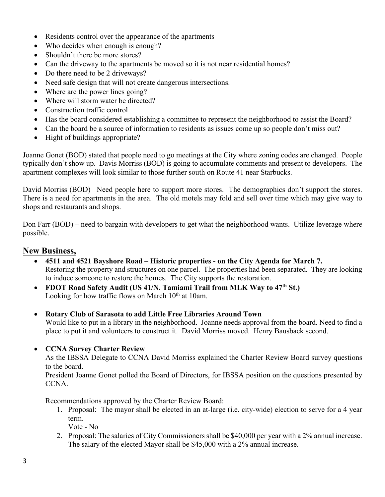- Residents control over the appearance of the apartments
- Who decides when enough is enough?
- Shouldn't there be more stores?
- Can the driveway to the apartments be moved so it is not near residential homes?
- Do there need to be 2 driveways?
- Need safe design that will not create dangerous intersections.
- Where are the power lines going?
- Where will storm water be directed?
- Construction traffic control
- Has the board considered establishing a committee to represent the neighborhood to assist the Board?
- Can the board be a source of information to residents as issues come up so people don't miss out?
- Hight of buildings appropriate?

Joanne Gonet (BOD) stated that people need to go meetings at the City where zoning codes are changed. People typically don't show up. Davis Morriss (BOD) is going to accumulate comments and present to developers. The apartment complexes will look similar to those further south on Route 41 near Starbucks.

David Morriss (BOD)– Need people here to support more stores. The demographics don't support the stores. There is a need for apartments in the area. The old motels may fold and sell over time which may give way to shops and restaurants and shops.

Don Farr (BOD) – need to bargain with developers to get what the neighborhood wants. Utilize leverage where possible.

## **New Business,**

- **4511 and 4521 Bayshore Road – Historic properties - on the City Agenda for March 7.**  Restoring the property and structures on one parcel. The properties had been separated. They are looking to induce someone to restore the homes. The City supports the restoration.
- **FDOT Road Safety Audit (US 41/N. Tamiami Trail from MLK Way to 47th St.)** Looking for how traffic flows on March 10<sup>th</sup> at 10am.
- **Rotary Club of Sarasota to add Little Free Libraries Around Town** Would like to put in a library in the neighborhood. Joanne needs approval from the board. Need to find a place to put it and volunteers to construct it. David Morriss moved. Henry Bausback second.

## • **CCNA Survey Charter Review**

As the IBSSA Delegate to CCNA David Morriss explained the Charter Review Board survey questions to the board.

President Joanne Gonet polled the Board of Directors, for IBSSA position on the questions presented by CCNA.

Recommendations approved by the Charter Review Board:

- 1. Proposal: The mayor shall be elected in an at-large (i.e. city-wide) election to serve for a 4 year term.
	- Vote No
- 2. Proposal: The salaries of City Commissioners shall be \$40,000 per year with a 2% annual increase. The salary of the elected Mayor shall be \$45,000 with a 2% annual increase.